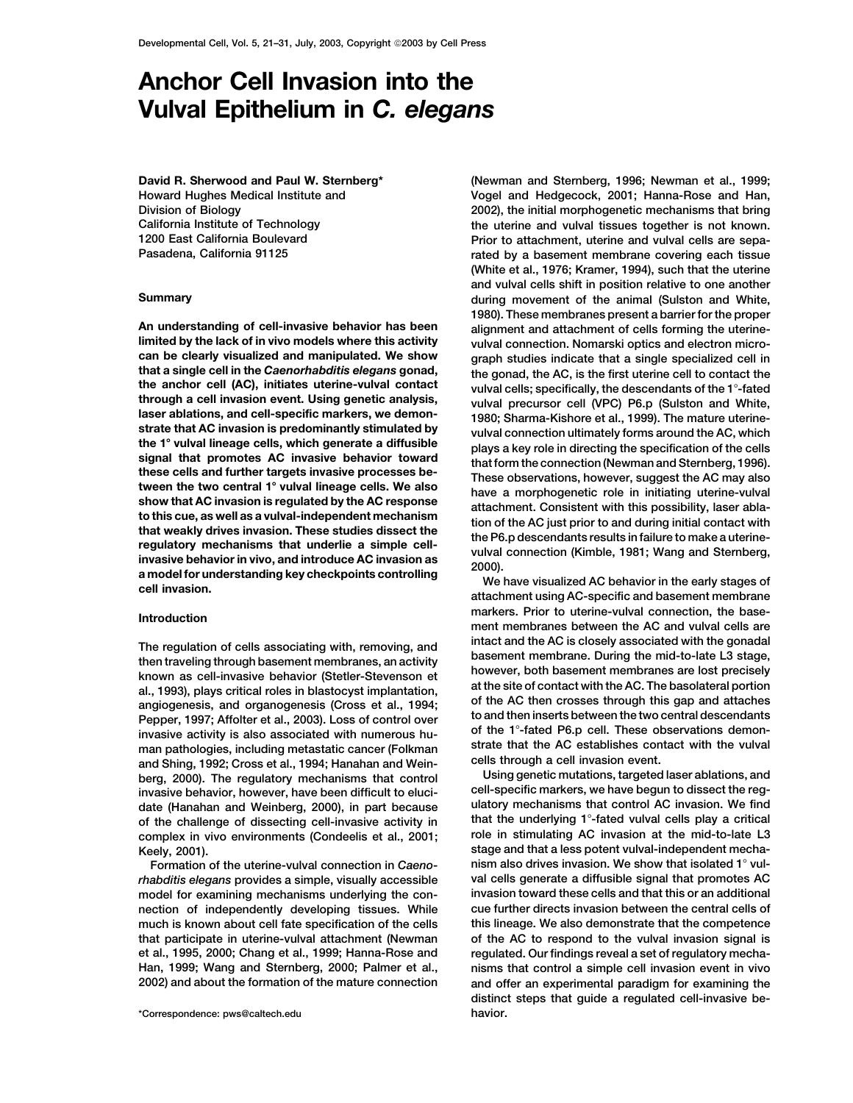# **Anchor Cell Invasion into the Vulval Epithelium in** *C. elegans*

**David R. Sherwood and Paul W. Sternberg\* Howard Hughes Medical Institute and Division of Biology**

through a cell invasion event. Using genetic analysis,<br>
laser ablatons, and cell-specific markers, we demon-<br>
laser ablatons, and cell-specific markers, we demon-<br>
starte that AC invasion is predominantly stimulated by<br>
th

and Shing, 1992; Cross et al., 1994; Hanahan and Wein-<br>berg. (2000). The regulatory mechanisms that control **bing genetic mutations, targeted laser ablations**, and date (Hanahan and Weinberg, 2000), in part because

model for examining mechanisms underlying the con-

**(Newman and Sternberg, 1996; Newman et al., 1999; Vogel and Hedgecock, 2001; Hanna-Rose and Han, 2002), the initial morphogenetic mechanisms that bring California Institute of Technology the uterine and vulval tissues together is not known. 1200 East California Boulevard Prior to attachment, uterine and vulval cells are sepa-Pasadena, California 91125 rated by a basement membrane covering each tissue (White et al., 1976; Kramer, 1994), such that the uterine and vulval cells shift in position relative to one another Summary during movement of the animal (Sulston and White, 1980). These membranes present a barrier for the proper An understanding of cell-invasive behavior has been alignment and attachment of cells forming the uterinelimited by the lack of in vivo models where this activity vulval connection. Nomarski optics and electron microcan be clearly visualized and manipulated. We show graph studies indicate that a single specialized cell in** that a single cell in the Caenorhabditis elegans gonad,<br>the gonad, the AC, is the first uterine cell to contact the<br>through a cell invasion event. Using genetic analysis,<br> $\frac{1}{2}$  wilvel precursor cell (VPC). P6 p. (Suls

**markers. Prior to uterine-vulval connection, the base- Introduction ment membranes between the AC and vulval cells are** The regulation of cells associating with, removing, and<br>then traveling through basement membranes, an activity<br>known as cell-invasive behavior (Stetler-Stevenson et<br>al., 1993), plays critical roles in blastocyst implantati invasive activity is also associated with numerous hu-<br>man pathologies, including metastatic cancer (Folkman strate that the AC establishes contact with the vulval<br>and Shing 1992: Cross et al. 1994: Hanahan and Wein- cells

**berg, 2000). The regulatory mechanisms that control Using genetic mutations, targeted laser ablations, and** invasive behavior, however, have been difficult to eluci-<br>date (Hanahan and Weinberg, 2000), in part because and altory mechanisms that control AC invasion. We find **of the challenge of dissecting cell-invasive activity in that the underlying 1-fated vulval cells play a critical complex in vivo environments (Condeelis et al., 2001; role in stimulating AC invasion at the mid-to-late L3 Keely, 2001).**<br>Formation of the uterine-vulval connection in Caeno-<br>Formation of the uterine-vulval connection in Caeno- mism also drives invasion. We show that isolated 1° vul-**Formation of the uterine-vulval connection in** *Caeno-* **nism also drives invasion. We show that isolated 1 vul***rhabditis elegans* **provides a simple, visually accessible val cells generate a diffusible signal that promotes AC nection of independently developing tissues. While cue further directs invasion between the central cells of much is known about cell fate specification of the cells this lineage. We also demonstrate that the competence that participate in uterine-vulval attachment (Newman of the AC to respond to the vulval invasion signal is et al., 1995, 2000; Chang et al., 1999; Hanna-Rose and regulated. Our findings reveal a set of regulatory mecha-Han, 1999; Wang and Sternberg, 2000; Palmer et al., nisms that control a simple cell invasion event in vivo 2002) and about the formation of the mature connection and offer an experimental paradigm for examining the distinct steps that guide a regulated cell-invasive be-**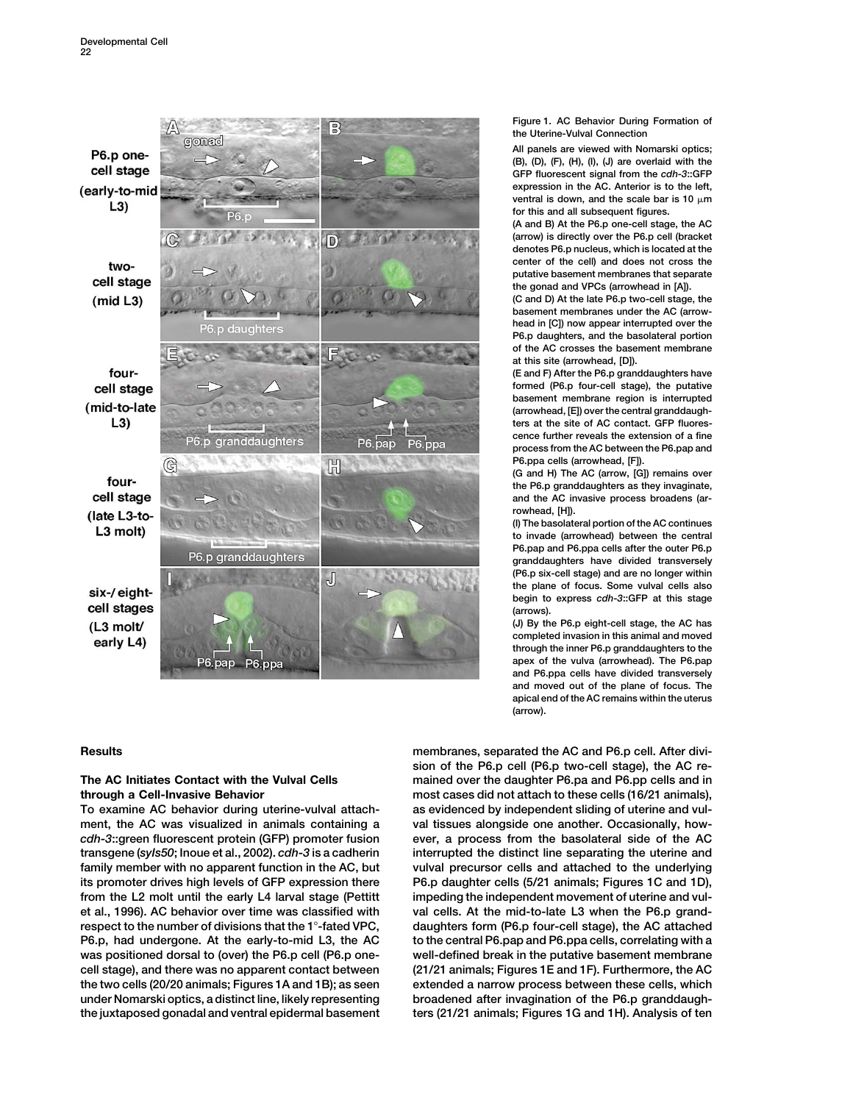

**To examine AC behavior during uterine-vulval attach- as evidenced by independent sliding of uterine and vul**ment, the AC was visualized in animals containing a val tissues alongside one another. Occasionally, how*cdh-3***::green fluorescent protein (GFP) promoter fusion ever, a process from the basolateral side of the AC transgene (***syIs50***; Inoue et al., 2002).** *cdh-3* **is a cadherin interrupted the distinct line separating the uterine and family member with no apparent function in the AC, but vulval precursor cells and attached to the underlying its promoter drives high levels of GFP expression there P6.p daughter cells (5/21 animals; Figures 1C and 1D), from the L2 molt until the early L4 larval stage (Pettitt impeding the independent movement of uterine and vulet al., 1996). AC behavior over time was classified with val cells. At the mid-to-late L3 when the P6.p grandrespect to the number of divisions that the 1-fated VPC, daughters form (P6.p four-cell stage), the AC attached P6.p, had undergone. At the early-to-mid L3, the AC to the central P6.pap and P6.ppa cells, correlating with a was positioned dorsal to (over) the P6.p cell (P6.p one- well-defined break in the putative basement membrane cell stage), and there was no apparent contact between (21/21 animals; Figures 1E and 1F). Furthermore, the AC the two cells (20/20 animals; Figures 1A and 1B); as seen extended a narrow process between these cells, which under Nomarski optics, a distinct line, likely representing broadened after invagination of the P6.p granddaughthe juxtaposed gonadal and ventral epidermal basement ters (21/21 animals; Figures 1G and 1H). Analysis of ten**

**Figure 1. AC Behavior During Formation of the Uterine-Vulval Connection**

**All panels are viewed with Nomarski optics; (B), (D), (F), (H), (I), (J) are overlaid with the GFP fluorescent signal from the** *cdh-3***::GFP expression in the AC. Anterior is to the left,** ventral is down, and the scale bar is 10  $\mu$ m **for this and all subsequent figures.**

**(A and B) At the P6.p one-cell stage, the AC (arrow) is directly over the P6.p cell (bracket denotes P6.p nucleus, which is located at the center of the cell) and does not cross the putative basement membranes that separate the gonad and VPCs (arrowhead in [A]).**

**(C and D) At the late P6.p two-cell stage, the basement membranes under the AC (arrowhead in [C]) now appear interrupted over the P6.p daughters, and the basolateral portion of the AC crosses the basement membrane at this site (arrowhead, [D]).**

**(E and F) After the P6.p granddaughters have formed (P6.p four-cell stage), the putative basement membrane region is interrupted (arrowhead, [E]) over the central granddaughters at the site of AC contact. GFP fluorescence further reveals the extension of a fine process from the AC between the P6.pap and P6.ppa cells (arrowhead, [F]).**

**(G and H) The AC (arrow, [G]) remains over the P6.p granddaughters as they invaginate, and the AC invasive process broadens (arrowhead, [H]).**

**(I) The basolateral portion of the AC continues to invade (arrowhead) between the central P6.pap and P6.ppa cells after the outer P6.p granddaughters have divided transversely (P6.p six-cell stage) and are no longer within the plane of focus. Some vulval cells also begin to express** *cdh-3***::GFP at this stage (arrows).**

**(J) By the P6.p eight-cell stage, the AC has completed invasion in this animal and moved through the inner P6.p granddaughters to the apex of the vulva (arrowhead). The P6.pap and P6.ppa cells have divided transversely and moved out of the plane of focus. The apical end of the AC remains within the uterus (arrow).**

**Results membranes, separated the AC and P6.p cell. After division of the P6.p cell (P6.p two-cell stage), the AC re-The AC Initiates Contact with the Vulval Cells mained over the daughter P6.pa and P6.pp cells and in through a Cell-Invasive Behavior most cases did not attach to these cells (16/21 animals),**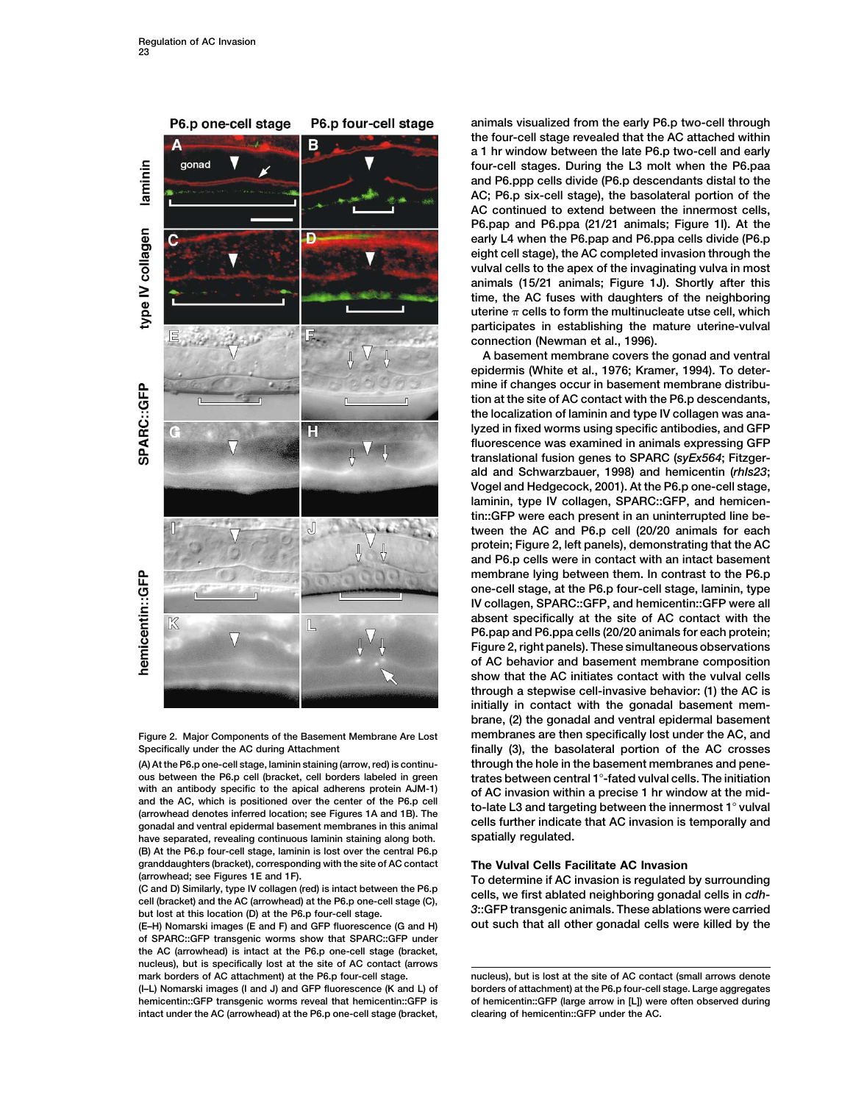

**Figure 2. Major Components of the Basement Membrane Are Lost**

have separated, revealing continuous laminin staining along both. **(B) At the P6.p four-cell stage, laminin is lost over the central P6.p granddaughters (bracket), corresponding with the site of AC contact The Vulval Cells Facilitate AC Invasion**

**of SPARC::GFP transgenic worms show that SPARC::GFP under the AC (arrowhead) is intact at the P6.p one-cell stage (bracket, nucleus), but is specifically lost at the site of AC contact (arrows**

**intact under the AC (arrowhead) at the P6.p one-cell stage (bracket, clearing of hemicentin::GFP under the AC.**

**animals visualized from the early P6.p two-cell through the four-cell stage revealed that the AC attached within a 1 hr window between the late P6.p two-cell and early four-cell stages. During the L3 molt when the P6.paa and P6.ppp cells divide (P6.p descendants distal to the AC; P6.p six-cell stage), the basolateral portion of the AC continued to extend between the innermost cells, P6.pap and P6.ppa (21/21 animals; Figure 1I). At the early L4 when the P6.pap and P6.ppa cells divide (P6.p eight cell stage), the AC completed invasion through the vulval cells to the apex of the invaginating vulva in most animals (15/21 animals; Figure 1J). Shortly after this time, the AC fuses with daughters of the neighboring uterine cells to form the multinucleate utse cell, which participates in establishing the mature uterine-vulval connection (Newman et al., 1996).**

**A basement membrane covers the gonad and ventral epidermis (White et al., 1976; Kramer, 1994). To determine if changes occur in basement membrane distribution at the site of AC contact with the P6.p descendants, the localization of laminin and type IV collagen was analyzed in fixed worms using specific antibodies, and GFP fluorescence was examined in animals expressing GFP translational fusion genes to SPARC (***syEx564***; Fitzgerald and Schwarzbauer, 1998) and hemicentin (***rhIs23***; Vogel and Hedgecock, 2001). At the P6.p one-cell stage, laminin, type IV collagen, SPARC::GFP, and hemicentin::GFP were each present in an uninterrupted line between the AC and P6.p cell (20/20 animals for each protein; Figure 2, left panels), demonstrating that the AC and P6.p cells were in contact with an intact basement membrane lying between them. In contrast to the P6.p one-cell stage, at the P6.p four-cell stage, laminin, type IV collagen, SPARC::GFP, and hemicentin::GFP were all absent specifically at the site of AC contact with the P6.pap and P6.ppa cells (20/20 animals for each protein; Figure 2, right panels). These simultaneous observations of AC behavior and basement membrane composition show that the AC initiates contact with the vulval cells through a stepwise cell-invasive behavior: (1) the AC is initially in contact with the gonadal basement membrane, (2) the gonadal and ventral epidermal basement membranes are then specifically lost under the AC, and Specifically under the AC during Attachment finally (3), the basolateral portion of the AC crosses (A) At the P6.p one-cell stage, laminin staining (arrow, red) is continu- through the hole in the basement membranes and peneous between the P6.p cell (bracket, cell borders labeled in green trates between central 1-fated vulval cells. The initiation** with an antibody specific to the apical adherens protein AJM-1) of AC invasion within a precise 1 hr window at the mid-<br>and the AC, which is positioned over the center of the P6.p cell<br>(arrowhead denotes inferred location

(arrowhead; see Figures 1E and 1F).<br>
(C and D) Similarly, type IV collagen (red) is intact between the P6.p<br>
cells, we first ablated neighboring gonadal cells in cdh-<br>
cell (bracket) and the AC (arrowhead) at the P6.p one-**(E–H) Nomarski images (E and F) and GFP fluorescence (G and H) out such that all other gonadal cells were killed by the**

**mark borders of AC attachment) at the P6.p four-cell stage. nucleus), but is lost at the site of AC contact (small arrows denote (I–L) Nomarski images (I and J) and GFP fluorescence (K and L) of borders of attachment) at the P6.p four-cell stage. Large aggregates hemicentin::GFP transgenic worms reveal that hemicentin::GFP is of hemicentin::GFP (large arrow in [L]) were often observed during**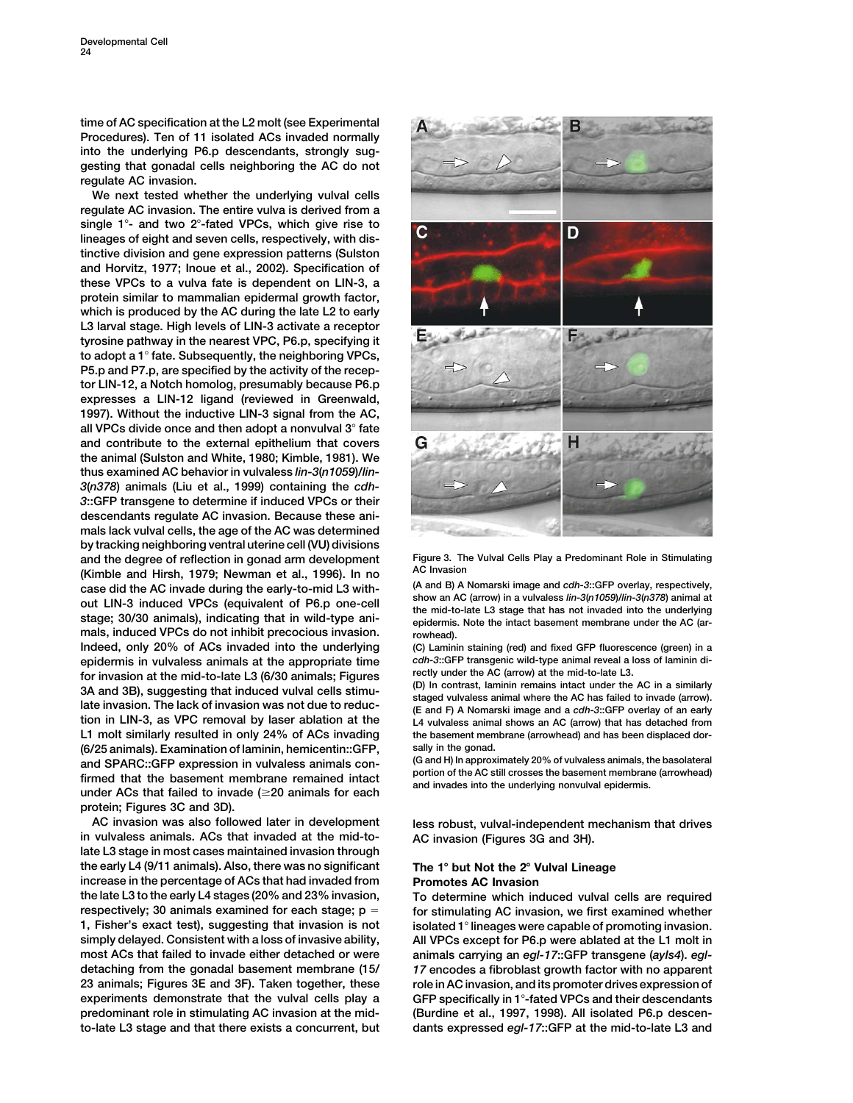**time of AC specification at the L2 molt (see Experimental Procedures). Ten of 11 isolated ACs invaded normally into the underlying P6.p descendants, strongly suggesting that gonadal cells neighboring the AC do not regulate AC invasion.**

**We next tested whether the underlying vulval cells regulate AC invasion. The entire vulva is derived from a single 1- and two 2-fated VPCs, which give rise to lineages of eight and seven cells, respectively, with distinctive division and gene expression patterns (Sulston and Horvitz, 1977; Inoue et al., 2002). Specification of these VPCs to a vulva fate is dependent on LIN-3, a protein similar to mammalian epidermal growth factor, which is produced by the AC during the late L2 to early L3 larval stage. High levels of LIN-3 activate a receptor tyrosine pathway in the nearest VPC, P6.p, specifying it to adopt a 1 fate. Subsequently, the neighboring VPCs, P5.p and P7.p, are specified by the activity of the receptor LIN-12, a Notch homolog, presumably because P6.p expresses a LIN-12 ligand (reviewed in Greenwald, 1997). Without the inductive LIN-3 signal from the AC, all VPCs divide once and then adopt a nonvulval 3 fate and contribute to the external epithelium that covers the animal (Sulston and White, 1980; Kimble, 1981). We thus examined AC behavior in vulvaless** *lin-3***(***n1059***)/***lin-3***(***n378***) animals (Liu et al., 1999) containing the** *cdh-3***::GFP transgene to determine if induced VPCs or their descendants regulate AC invasion. Because these animals lack vulval cells, the age of the AC was determined by tracking neighboring ventral uterine cell (VU) divisions and the degree of reflection in gonad arm development Figure 3. The Vulval Cells Play a Predominant Role in Stimulating (Kimble and Hirsh, 1979; Newman et al., 1996). In no**<br>Case did the AC invade during the early-to-mid L3 with-<br>(A and B) A Nomarski image and c*dh*-3::GFP overlay, respectively, case did the AC invade during the early-to-mid L3 with-<br>out LIN-3 induced VPCs (equivalent of P6.p one-cell<br>show an AC (arrow) in a vulvaless *lin-3(n1059)/lin-3(n378)* animal at<br>stage; 30/30 animals), indicating that in w **mals, induced VPCs do not inhibit precocious invasion. rowhead). Indeed, only 20% of ACs invaded into the underlying (C) Laminin staining (red) and fixed GFP fluorescence (green) in a epidermis in vulvaless animals at the appropriate time** *cdh-3***::GFP transgenic wild-type animal reveal a loss of laminin di**for invasion at the mid-to-late L3 (6/30 animals; Figures and the AC (arrow) at the mid-to-late L3.<br>3A and 3B), suggesting that induced vulval cells stimu-<br>late invasion. The lack of invasion was not due to reduc-<br>let and **tion in LIN-3, as VPC removal by laser ablation at the L4 vulvaless animal shows an AC (arrow) that has detached from sally in the gonad. (6/25 animals). Examination of laminin, hemicentin::GFP,** and SPARC::GFP expression in vulvaless animals con-<br>firmed that the basement membrane remained intact<br>under ACs that failed to invade ( $\geq$ 20 animals for each<br>under ACs that failed to invade ( $\geq$ 20 animals for each<br>and **protein; Figures 3C and 3D).**

**AC invasion was also followed later in development less robust, vulval-independent mechanism that drives in vulvaless animals. ACs that invaded at the mid-to- AC invasion (Figures 3G and 3H). late L3 stage in most cases maintained invasion through the early L4 (9/11 animals). Also, there was no significant The 1 but Not the 2 Vulval Lineage increase in the percentage of ACs that had invaded from Promotes AC Invasion the late L3 to the early L4 stages (20% and 23% invasion, To determine which induced vulval cells are required respectively; 30 animals examined for each stage; p for stimulating AC invasion, we first examined whether 1, Fisher's exact test), suggesting that invasion is not isolated 1 lineages were capable of promoting invasion. simply delayed. Consistent with a loss of invasive ability, All VPCs except for P6.p were ablated at the L1 molt in most ACs that failed to invade either detached or were animals carrying an** *egl-17***::GFP transgene (***ayIs4***).** *egl***detaching from the gonadal basement membrane (15/** *17* **encodes a fibroblast growth factor with no apparent 23 animals; Figures 3E and 3F). Taken together, these role in AC invasion, and its promoter drives expression of experiments demonstrate that the vulval cells play a GFP specifically in 1-fated VPCs and their descendants predominant role in stimulating AC invasion at the mid- (Burdine et al., 1997, 1998). All isolated P6.p descento-late L3 stage and that there exists a concurrent, but dants expressed** *egl-17***::GFP at the mid-to-late L3 and**



the basement membrane (arrowhead) and has been displaced dor-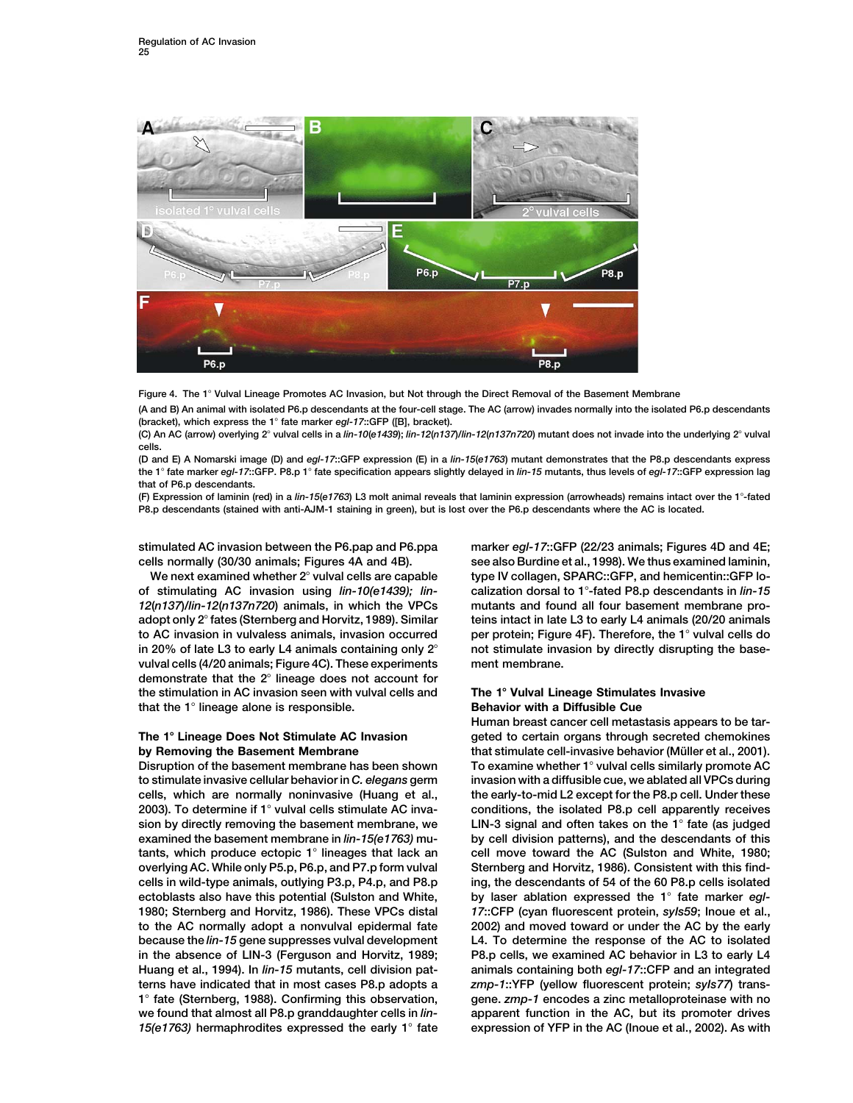

**Figure 4. The 1 Vulval Lineage Promotes AC Invasion, but Not through the Direct Removal of the Basement Membrane**

**(A and B) An animal with isolated P6.p descendants at the four-cell stage. The AC (arrow) invades normally into the isolated P6.p descendants (bracket), which express the 1 fate marker** *egl-17***::GFP ([B], bracket).**

(C) An AC (arrow) overlying 2° vulval cells in a lin-10(e1439); lin-12(n137)/lin-12(n137n720) mutant does not invade into the underlying 2° vulval **cells.**

**(D and E) A Nomarski image (D) and** *egl-17***::GFP expression (E) in a** *lin-15***(***e1763***) mutant demonstrates that the P8.p descendants express the 1 fate marker** *egl-17***::GFP. P8.p 1 fate specification appears slightly delayed in** *lin-15* **mutants, thus levels of** *egl-17***::GFP expression lag that of P6.p descendants.**

**(F) Expression of laminin (red) in a** *lin-15***(***e1763***) L3 molt animal reveals that laminin expression (arrowheads) remains intact over the 1-fated P8.p descendants (stained with anti-AJM-1 staining in green), but is lost over the P6.p descendants where the AC is located.**

**in 20% of late L3 to early L4 animals containing only 2 not stimulate invasion by directly disrupting the basevulval cells (4/20 animals; Figure 4C). These experiments ment membrane. demonstrate that the 2 lineage does not account for the stimulation in AC invasion seen with vulval cells and The 1 Vulval Lineage Stimulates Invasive that the 1 lineage alone is responsible. Behavior with a Diffusible Cue**

**to stimulate invasive cellular behavior in** *C. elegans* **germ invasion with a diffusible cue, we ablated all VPCs during cells, which are normally noninvasive (Huang et al., the early-to-mid L2 except for the P8.p cell. Under these 2003). To determine if 1 vulval cells stimulate AC inva- conditions, the isolated P8.p cell apparently receives sion by directly removing the basement membrane, we LIN-3 signal and often takes on the 1 fate (as judged examined the basement membrane in** *lin-15(e1763)* **mu- by cell division patterns), and the descendants of this tants, which produce ectopic 1 lineages that lack an cell move toward the AC (Sulston and White, 1980;** overlying AC. While only P5.p, P6.p, and P7.p form vulval Sternberg and Horvitz, 1986). Consistent with this find**cells in wild-type animals, outlying P3.p, P4.p, and P8.p ing, the descendants of 54 of the 60 P8.p cells isolated** ectoblasts also have this potential (Sulston and White, by laser ablation expressed the 1° fate marker *egl-***1980; Sternberg and Horvitz, 1986). These VPCs distal** *17***::CFP (cyan fluorescent protein,** *syIs59***; Inoue et al., to the AC normally adopt a nonvulval epidermal fate 2002) and moved toward or under the AC by the early because the** *lin-15* **gene suppresses vulval development L4. To determine the response of the AC to isolated in the absence of LIN-3 (Ferguson and Horvitz, 1989; P8.p cells, we examined AC behavior in L3 to early L4 Huang et al., 1994). In** *lin-15* **mutants, cell division pat- animals containing both** *egl-17***::CFP and an integrated terns have indicated that in most cases P8.p adopts a** *zmp-1***::YFP (yellow fluorescent protein;** *syIs77***) trans-1 fate (Sternberg, 1988). Confirming this observation, gene.** *zmp-1* **encodes a zinc metalloproteinase with no we found that almost all P8.p granddaughter cells in** *lin-* **apparent function in the AC, but its promoter drives** *15(e1763)* **hermaphrodites expressed the early 1 fate expression of YFP in the AC (Inoue et al., 2002). As with**

**stimulated AC invasion between the P6.pap and P6.ppa marker** *egl-17***::GFP (22/23 animals; Figures 4D and 4E; cells normally (30/30 animals; Figures 4A and 4B). see also Burdine et al., 1998). We thus examined laminin,** We next examined whether 2° vulval cells are capable type IV collagen, SPARC::GFP, and hemicentin::GFP lo**of stimulating AC invasion using** *lin-10(e1439); lin-* **calization dorsal to 1-fated P8.p descendants in** *lin-15 12***(***n137***)/***lin-12***(***n137n720***) animals, in which the VPCs mutants and found all four basement membrane proadopt only 2 fates (Sternberg and Horvitz, 1989). Similar teins intact in late L3 to early L4 animals (20/20 animals to AC invasion in vulvaless animals, invasion occurred per protein; Figure 4F). Therefore, the 1 vulval cells do**

**Human breast cancer cell metastasis appears to be tar-The 1 Lineage Does Not Stimulate AC Invasion geted to certain organs through secreted chemokines by Removing the Basement Membrane that stimulate cell-invasive behavior (Müller et al., 2001). Disruption of the basement membrane has been shown To examine whether 1 vulval cells similarly promote AC**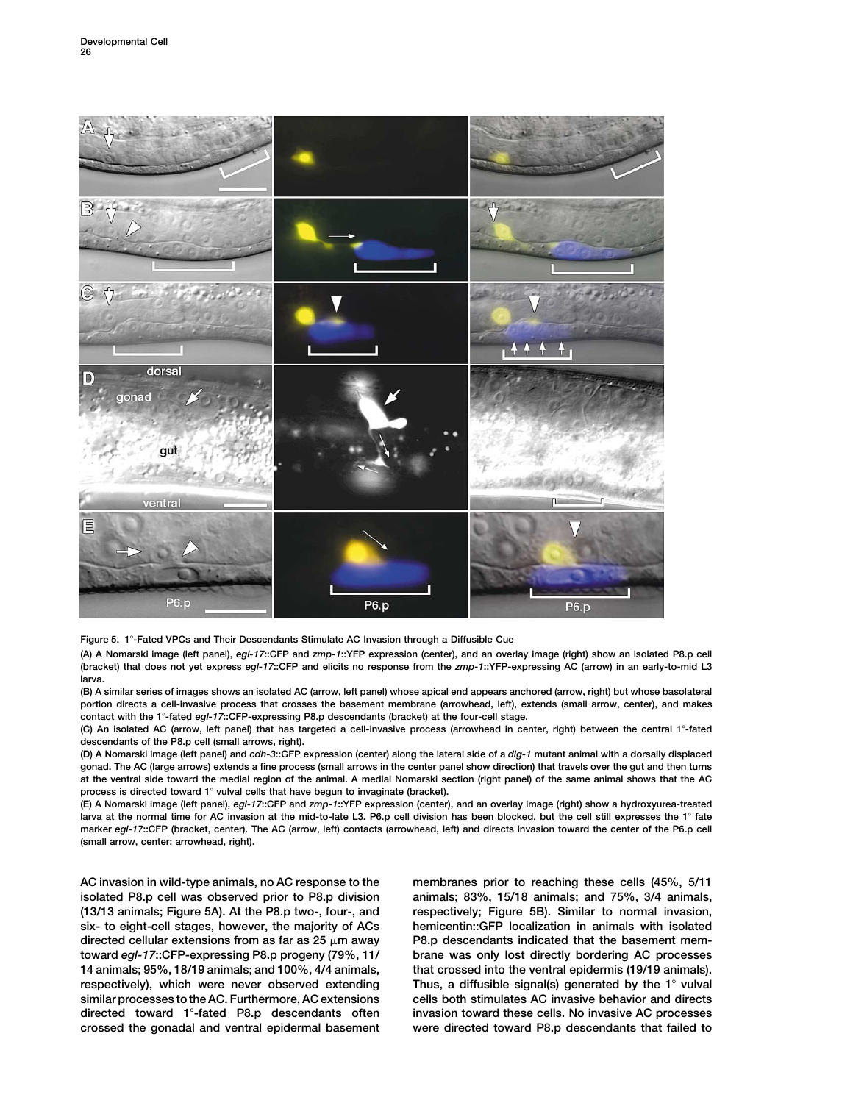

**Figure 5. 1-Fated VPCs and Their Descendants Stimulate AC Invasion through a Diffusible Cue**

**(A) A Nomarski image (left panel),** *egl-17***::CFP and** *zmp-1***::YFP expression (center), and an overlay image (right) show an isolated P8.p cell (bracket) that does not yet express** *egl-17***::CFP and elicits no response from the** *zmp-1***::YFP-expressing AC (arrow) in an early-to-mid L3 larva.**

**(B) A similar series of images shows an isolated AC (arrow, left panel) whose apical end appears anchored (arrow, right) but whose basolateral portion directs a cell-invasive process that crosses the basement membrane (arrowhead, left), extends (small arrow, center), and makes contact with the 1-fated** *egl-17***::CFP-expressing P8.p descendants (bracket) at the four-cell stage.**

**(C) An isolated AC (arrow, left panel) that has targeted a cell-invasive process (arrowhead in center, right) between the central 1-fated descendants of the P8.p cell (small arrows, right).**

**(D) A Nomarski image (left panel) and** *cdh-3***::GFP expression (center) along the lateral side of a** *dig-1* **mutant animal with a dorsally displaced gonad. The AC (large arrows) extends a fine process (small arrows in the center panel show direction) that travels over the gut and then turns at the ventral side toward the medial region of the animal. A medial Nomarski section (right panel) of the same animal shows that the AC process is directed toward 1 vulval cells that have begun to invaginate (bracket).**

**(E) A Nomarski image (left panel),** *egl-17***::CFP and** *zmp-1***::YFP expression (center), and an overlay image (right) show a hydroxyurea-treated larva at the normal time for AC invasion at the mid-to-late L3. P6.p cell division has been blocked, but the cell still expresses the 1 fate marker** *egl-17***::CFP (bracket, center). The AC (arrow, left) contacts (arrowhead, left) and directs invasion toward the center of the P6.p cell (small arrow, center; arrowhead, right).**

**isolated P8.p cell was observed prior to P8.p division animals; 83%, 15/18 animals; and 75%, 3/4 animals, (13/13 animals; Figure 5A). At the P8.p two-, four-, and respectively; Figure 5B). Similar to normal invasion, six- to eight-cell stages, however, the majority of ACs hemicentin::GFP localization in animals with isolated** directed cellular extensions from as far as  $25 \mu m$  away **toward** *egl-17***::CFP-expressing P8.p progeny (79%, 11/ brane was only lost directly bordering AC processes 14 animals; 95%, 18/19 animals; and 100%, 4/4 animals, that crossed into the ventral epidermis (19/19 animals). respectively), which were never observed extending Thus, a diffusible signal(s) generated by the 1 vulval similar processes to the AC. Furthermore, AC extensions cells both stimulates AC invasive behavior and directs directed toward 1-fated P8.p descendants often invasion toward these cells. No invasive AC processes crossed the gonadal and ventral epidermal basement were directed toward P8.p descendants that failed to**

**AC invasion in wild-type animals, no AC response to the membranes prior to reaching these cells (45%, 5/11** P8.p descendants indicated that the basement mem-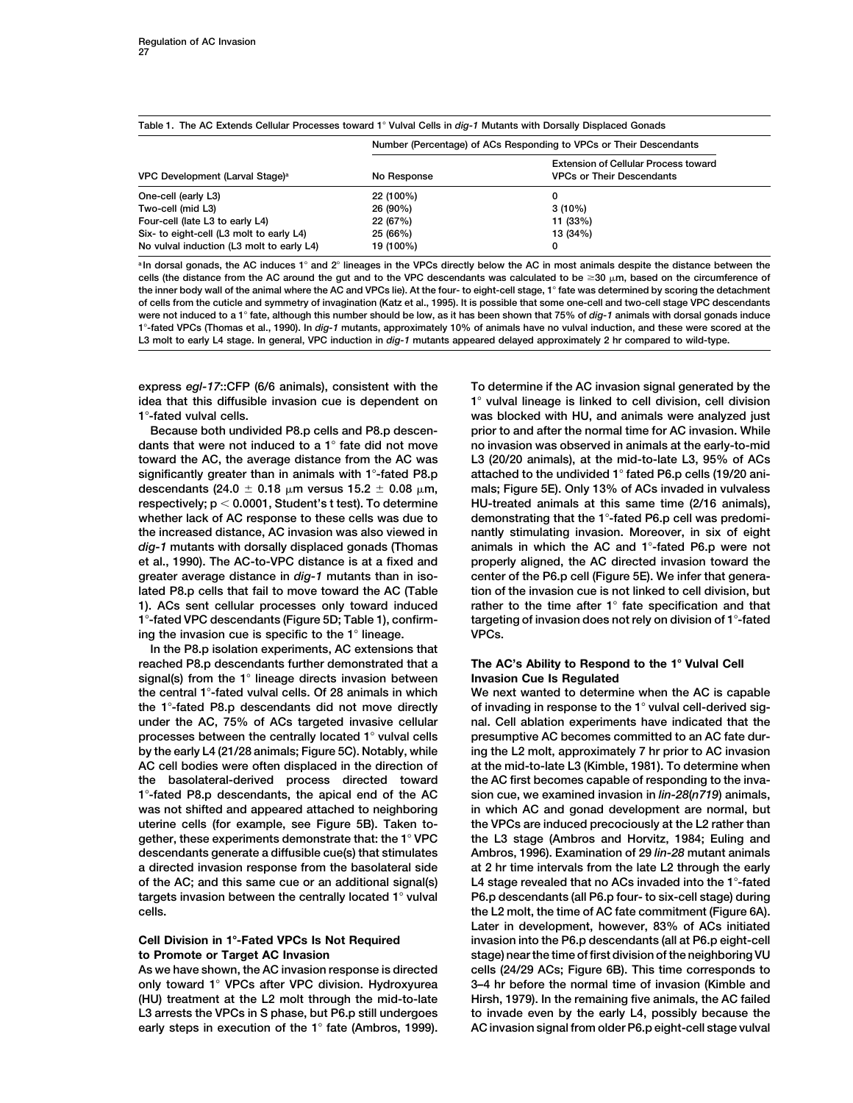|  | Table 1. The AC Extends Cellular Processes toward 1° Vulval Cells in <i>dig-1</i> Mutants with Dorsally Displaced Gonads |  |
|--|--------------------------------------------------------------------------------------------------------------------------|--|
|  | Number (Persontage) of ACs Personding to VPCs or Their Descendants                                                       |  |

|                                             | Number (Percentage) of ACs Responding to VPCs or Their Descendants |                                                                          |  |
|---------------------------------------------|--------------------------------------------------------------------|--------------------------------------------------------------------------|--|
| VPC Development (Larval Stage) <sup>a</sup> | No Response                                                        | Extension of Cellular Process toward<br><b>VPCs or Their Descendants</b> |  |
| One-cell (early L3)                         | 22 (100%)                                                          |                                                                          |  |
| Two-cell (mid L3)                           | 26 (90%)                                                           | $3(10\%)$                                                                |  |
| Four-cell (late L3 to early L4)             | 22 (67%)                                                           | 11 (33%)                                                                 |  |
| Six- to eight-cell (L3 molt to early L4)    | 25 (66%)                                                           | 13 (34%)                                                                 |  |
| No vulval induction (L3 molt to early L4)   | 19 (100%)                                                          |                                                                          |  |

<sup>a</sup> In dorsal gonads, the AC induces 1° and 2° lineages in the VPCs directly below the AC in most animals despite the distance between the cells (the distance from the AC around the gut and to the VPC descendants was calculated to be  $\geq$ 30  $\mu$ m, based on the circumference of **the inner body wall of the animal where the AC and VPCs lie). At the four- to eight-cell stage, 1 fate was determined by scoring the detachment of cells from the cuticle and symmetry of invagination (Katz et al., 1995). It is possible that some one-cell and two-cell stage VPC descendants were not induced to a 1 fate, although this number should be low, as it has been shown that 75% of** *dig-1* **animals with dorsal gonads induce 1-fated VPCs (Thomas et al., 1990). In** *dig-1* **mutants, approximately 10% of animals have no vulval induction, and these were scored at the L3 molt to early L4 stage. In general, VPC induction in** *dig-1* **mutants appeared delayed approximately 2 hr compared to wild-type.**

**express** *egl-17***::CFP (6/6 animals), consistent with the To determine if the AC invasion signal generated by the idea that this diffusible invasion cue is dependent on 1 vulval lineage is linked to cell division, cell division 1-fated vulval cells. was blocked with HU, and animals were analyzed just**

**dants that were not induced to a 1 fate did not move no invasion was observed in animals at the early-to-mid toward the AC, the average distance from the AC was L3 (20/20 animals), at the mid-to-late L3, 95% of ACs significantly greater than in animals with 1-fated P8.p attached to the undivided 1 fated P6.p cells (19/20 ani-** $\alpha$  descendants (24.0  $\pm$  0.18  $\mu$ m versus 15.2  $\pm$  0.08  $\mu$ **respectively; p 0.0001, Student's t test). To determine HU-treated animals at this same time (2/16 animals), whether lack of AC response to these cells was due to demonstrating that the 1-fated P6.p cell was predomithe increased distance, AC invasion was also viewed in nantly stimulating invasion. Moreover, in six of eight** *dig-1* **mutants with dorsally displaced gonads (Thomas animals in which the AC and 1-fated P6.p were not et al., 1990). The AC-to-VPC distance is at a fixed and properly aligned, the AC directed invasion toward the greater average distance in** *dig-1* **mutants than in iso- center of the P6.p cell (Figure 5E). We infer that generalated P8.p cells that fail to move toward the AC (Table tion of the invasion cue is not linked to cell division, but 1). ACs sent cellular processes only toward induced rather to the time after 1 fate specification and that 1-fated VPC descendants (Figure 5D; Table 1), confirm- targeting of invasion does not rely on division of 1-fated ing the invasion cue is specific to the 1 lineage. VPCs.**

**In the P8.p isolation experiments, AC extensions that reached P8.p descendants further demonstrated that a The AC's Ability to Respond to the 1 Vulval Cell signal(s) from the 1 lineage directs invasion between Invasion Cue Is Regulated the central 1-fated vulval cells. Of 28 animals in which We next wanted to determine when the AC is capable the 1-fated P8.p descendants did not move directly of invading in response to the 1 vulval cell-derived sigunder the AC, 75% of ACs targeted invasive cellular nal. Cell ablation experiments have indicated that the processes between the centrally located 1 vulval cells presumptive AC becomes committed to an AC fate durby the early L4 (21/28 animals; Figure 5C). Notably, while ing the L2 molt, approximately 7 hr prior to AC invasion AC cell bodies were often displaced in the direction of at the mid-to-late L3 (Kimble, 1981). To determine when the basolateral-derived process directed toward the AC first becomes capable of responding to the inva-1-fated P8.p descendants, the apical end of the AC sion cue, we examined invasion in** *lin-28***(***n719***) animals,** was not shifted and appeared attached to neighboring in which AC and gonad development are normal, but **uterine cells (for example, see Figure 5B). Taken to- the VPCs are induced precociously at the L2 rather than gether, these experiments demonstrate that: the 1 VPC the L3 stage (Ambros and Horvitz, 1984; Euling and descendants generate a diffusible cue(s) that stimulates Ambros, 1996). Examination of 29** *lin-28* **mutant animals a directed invasion response from the basolateral side at 2 hr time intervals from the late L2 through the early of the AC; and this same cue or an additional signal(s) L4 stage revealed that no ACs invaded into the 1-fated targets invasion between the centrally located 1 vulval P6.p descendants (all P6.p four- to six-cell stage) during cells. the L2 molt, the time of AC fate commitment (Figure 6A).**

**As we have shown, the AC invasion response is directed cells (24/29 ACs; Figure 6B). This time corresponds to only toward 1 VPCs after VPC division. Hydroxyurea 3–4 hr before the normal time of invasion (Kimble and (HU) treatment at the L2 molt through the mid-to-late Hirsh, 1979). In the remaining five animals, the AC failed L3 arrests the VPCs in S phase, but P6.p still undergoes to invade even by the early L4, possibly because the early steps in execution of the 1 fate (Ambros, 1999). AC invasion signal from older P6.p eight-cell stage vulval**

**Because both undivided P8.p cells and P8.p descen- prior to and after the normal time for AC invasion. While** mals; Figure 5E). Only 13% of ACs invaded in vulvaless

**Later in development, however, 83% of ACs initiated Cell Division in 1-Fated VPCs Is Not Required invasion into the P6.p descendants (all at P6.p eight-cell to Promote or Target AC Invasion stage) near the time of first division of the neighboring VU**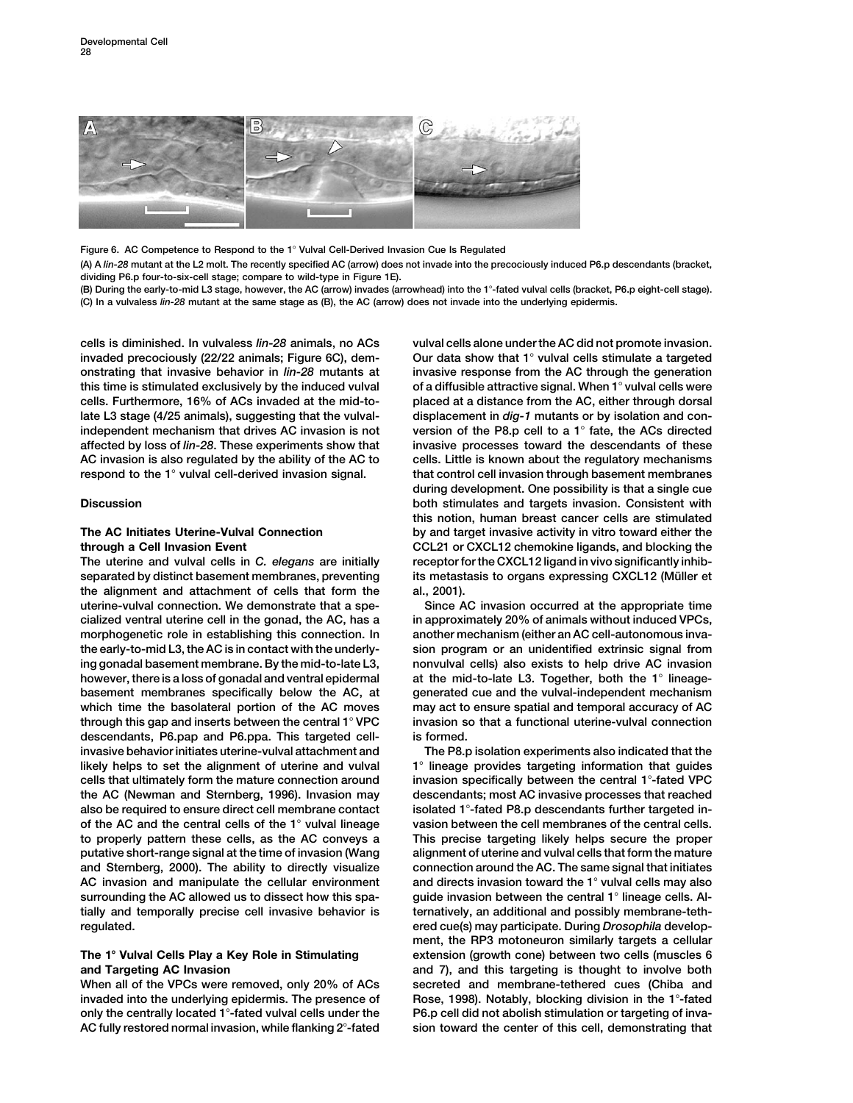

Figure 6. AC Competence to Respond to the 1° Vulval Cell-Derived Invasion Cue Is Regulated

**(A) A** *lin-28* **mutant at the L2 molt. The recently specified AC (arrow) does not invade into the precociously induced P6.p descendants (bracket, dividing P6.p four-to-six-cell stage; compare to wild-type in Figure 1E).**

**(B) During the early-to-mid L3 stage, however, the AC (arrow) invades (arrowhead) into the 1-fated vulval cells (bracket, P6.p eight-cell stage). (C) In a vulvaless** *lin-28* **mutant at the same stage as (B), the AC (arrow) does not invade into the underlying epidermis.**

**cells is diminished. In vulvaless** *lin-28* **animals, no ACs vulval cells alone under the AC did not promote invasion. invaded precociously (22/22 animals; Figure 6C), dem- Our data show that 1 vulval cells stimulate a targeted onstrating that invasive behavior in** *lin-28* **mutants at invasive response from the AC through the generation this time is stimulated exclusively by the induced vulval of a diffusible attractive signal. When 1 vulval cells were cells. Furthermore, 16% of ACs invaded at the mid-to- placed at a distance from the AC, either through dorsal late L3 stage (4/25 animals), suggesting that the vulval- displacement in** *dig-1* **mutants or by isolation and conindependent mechanism that drives AC invasion is not version of the P8.p cell to a 1 fate, the ACs directed affected by loss of** *lin-28***. These experiments show that invasive processes toward the descendants of these AC invasion is also regulated by the ability of the AC to cells. Little is known about the regulatory mechanisms respond to the 1 vulval cell-derived invasion signal. that control cell invasion through basement membranes**

**The uterine and vulval cells in** *C. elegans* **are initially receptor for the CXCL12 ligand in vivo significantly inhibseparated by distinct basement membranes, preventing** its metastasis to organs expressing CXCL12 (Müller et **the alignment and attachment of cells that form the al., 2001). uterine-vulval connection. We demonstrate that a spe- Since AC invasion occurred at the appropriate time cialized ventral uterine cell in the gonad, the AC, has a in approximately 20% of animals without induced VPCs,** morphogenetic role in establishing this connection. In another mechanism (either an AC cell-autonomous inva**the early-to-mid L3, the AC is in contact with the underly- sion program or an unidentified extrinsic signal from ing gonadal basement membrane. By the mid-to-late L3, nonvulval cells) also exists to help drive AC invasion however, there is a loss of gonadal and ventral epidermal at the mid-to-late L3. Together, both the 1 lineagebasement membranes specifically below the AC, at generated cue and the vulval-independent mechanism which time the basolateral portion of the AC moves may act to ensure spatial and temporal accuracy of AC through this gap and inserts between the central 1 VPC invasion so that a functional uterine-vulval connection descendants, P6.pap and P6.ppa. This targeted cell- is formed. invasive behavior initiates uterine-vulval attachment and The P8.p isolation experiments also indicated that the** likely helps to set the alignment of uterine and vulval **1**<sup>°</sup> lineage provides targeting information that guides **cells that ultimately form the mature connection around invasion specifically between the central 1-fated VPC the AC (Newman and Sternberg, 1996). Invasion may descendants; most AC invasive processes that reached also be required to ensure direct cell membrane contact isolated 1-fated P8.p descendants further targeted inof the AC and the central cells of the 1 vulval lineage vasion between the cell membranes of the central cells. to properly pattern these cells, as the AC conveys a This precise targeting likely helps secure the proper putative short-range signal at the time of invasion (Wang alignment of uterine and vulval cells that form the mature and Sternberg, 2000). The ability to directly visualize connection around the AC. The same signal that initiates AC invasion and manipulate the cellular environment and directs invasion toward the 1 vulval cells may also surrounding the AC allowed us to dissect how this spa- guide invasion between the central 1 lineage cells. Altially and temporally precise cell invasive behavior is ternatively, an additional and possibly membrane-tethregulated. ered cue(s) may participate. During** *Drosophila* **develop-**

**When all of the VPCs were removed, only 20% of ACs secreted and membrane-tethered cues (Chiba and invaded into the underlying epidermis. The presence of Rose, 1998). Notably, blocking division in the 1-fated only the centrally located 1-fated vulval cells under the P6.p cell did not abolish stimulation or targeting of inva-AC fully restored normal invasion, while flanking 2-fated sion toward the center of this cell, demonstrating that**

**during development. One possibility is that a single cue Discussion both stimulates and targets invasion. Consistent with this notion, human breast cancer cells are stimulated The AC Initiates Uterine-Vulval Connection by and target invasive activity in vitro toward either the through a Cell Invasion Event CCL21 or CXCL12 chemokine ligands, and blocking the**

**ment, the RP3 motoneuron similarly targets a cellular The 1 Vulval Cells Play a Key Role in Stimulating extension (growth cone) between two cells (muscles 6 and Targeting AC Invasion and 7), and this targeting is thought to involve both**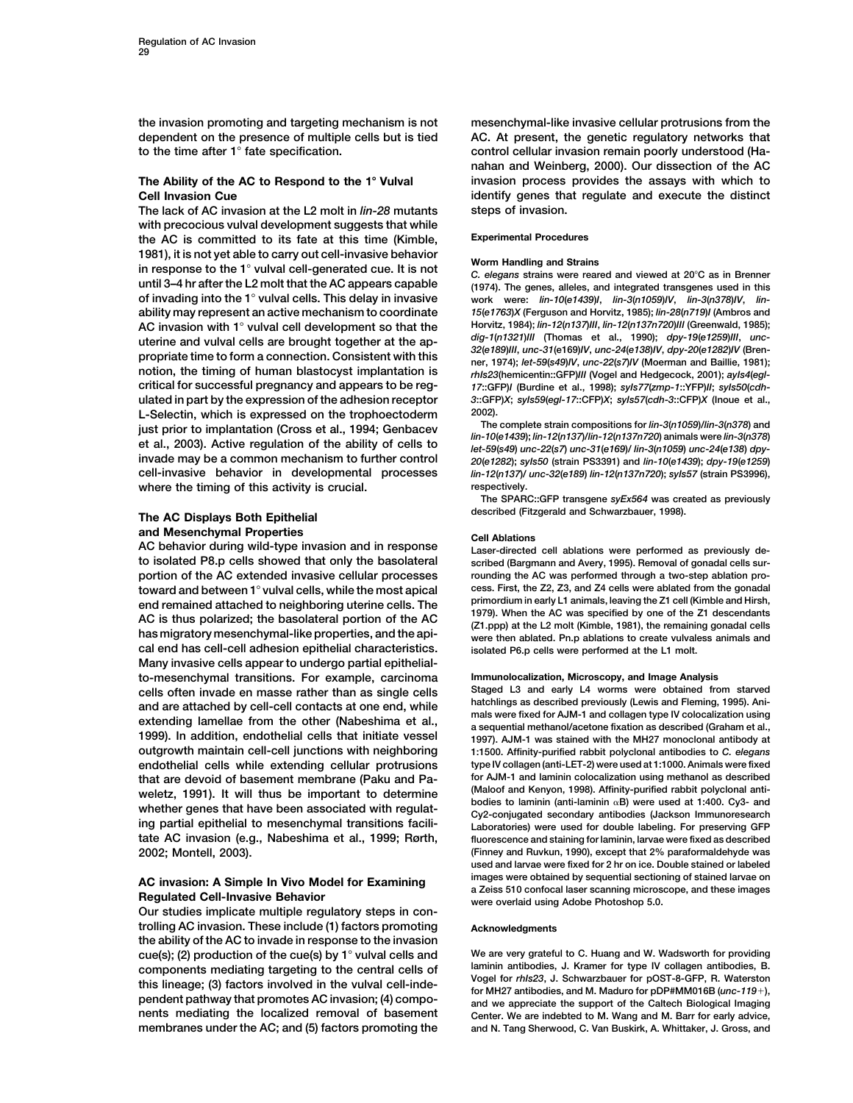**dependent on the presence of multiple cells but is tied AC. At present, the genetic regulatory networks that to the time after 1 fate specification. control cellular invasion remain poorly understood (Ha-**

**The lack of AC invasion at the L2 molt in** *lin-28* **mutants steps of invasion. with precocious vulval development suggests that while Experimental Procedures the AC is committed to its fate at this time (Kimble,** 1981), it is not yet able to carry out cell-invasive behavior<br>in response to the 1° vulval cell-generated cue. It is not  $\begin{array}{c}$  Worm Handling and Strains<br>C. elegans strains were reared and viewed at 20°C as in Brenner **until 3–4 hr after the L2 molt that the AC appears capable (1974). The genes, alleles, and integrated transgenes used in this ability may represent an active mechanism to coordinate** *15***(***e1763***)***X* **(Ferguson and Horvitz, 1985);** *lin-28***(***n719***)***I* **(Ambros and** AC invasion with 1° vulval cell development so that the  $\frac{Hovitz}{dt}$ ,  $\frac{1984}{10}$ ; *lin-12(n137)III*, *lin-12(n137)III* (Greenwald, 1985);<br>uterine and vulval cells are brought together at the ap-<br>propriate time to form a **critical for successful pregnancy and appears to be reg-** *17***::GFP)***I* **(Burdine et al., 1998);** *syIs77***(***zmp-1***::YFP)***II***;** *syIs50***(***cdh*ulated in part by the expression of the adhesion receptor 3::GFP)X; syls59(egl-17::CFP)X; syls57(cdh-3::CFP)X (Inoue et al.,<br>L-Selectin which is expressed on the trophoectoderm 2002). **L-Selectin, which is expressed on the trophoectoderm 2002).** just prior to implantation (Cross et al., 1994; Genbacev<br>et al., 2003). Active regulation of the ability of cells to<br>in-10(e1439); lin-10(e1439) and lin-10(e1439); and lin-10(e1439); syls and lin-10(e1439) in-3(n 1059) an **cell-invasive behavior in developmental processes** *lin-12***(***n137***)/** *unc-32***(***e189***)** *lin-12***(***n137n720***);** *syIs57* **(strain PS3996), where the timing of this activity is crucial. respectively.**

**and Mesenchymal Properties Cell Ablations AC behavior during wild-type invasion and in response Laser-directed cell ablations were performed as previously deto isolated P8.p cells showed that only the basolateral scribed (Bargmann and Avery, 1995). Removal of gonadal cells surportion of the AC extended invasive cellular processes rounding the AC was performed through a two-step ablation process. First, the Z2, Z3, and Z4 cells were ablated from the gonadal**<br> **end remained attached to neighboring uterine cells. The** *primordium in early L1 animals, leaving the Z1 cell (Kimble and Hirsh,* end remained attached to neighboring uterine cells. The<br>AC is thus polarized; the basolateral portion of the AC<br>has migratory mesenchymal-like properties, and the api-<br>has migratory mesenchymal-like properties, and the api **cal end has cell-cell adhesion epithelial characteristics. isolated P6.p cells were performed at the L1 molt. Many invasive cells appear to undergo partial epithelialto-mesenchymal transitions. For example, carcinoma Immunolocalization, Microscopy, and Image Analysis cells often invade en masse rather than as single cells Staged L3 and early L4 worms were obtained from starved** and are attached by cell-cell contacts at one end, while<br>extending lamellae from the other (Nabeshima et al.,<br>a sequential methanol/acetone fixate one sales are allo allow as described provided in the other and collagen<br>19 **outgrowth maintain cell-cell junctions with neighboring 1:1500. Affinity-purified rabbit polyclonal antibodies to** *C. elegans* **endothelial cells while extending cellular protrusions type IV collagen (anti-LET-2) were used at 1:1000. Animals were fixed for AJM-1 and laminin colocalization using methanol as described that are devoid of basement membrane (Paku and Pa** weletz, 1991). It will thus be important to determine (Maloot and Kenyon, 1998). Aftinity-puritied rabbit polyclonal anti-<br>whether genes that have been associated with regulat-<br>ing partial epithelial to mesenchymal transit **tate AC invasion (e.g., Nabeshima et al., 1999; Rørth, fluorescence and staining for laminin, larvae were fixed as described 2002; Montell, 2003). (Finney and Ruvkun, 1990), except that 2% paraformaldehyde was**

**Our studies implicate multiple regulatory steps in con**trolling AC invasion. These include (1) factors promoting **Acknowledgments the ability of the AC to invade in response to the invasion cue(s); (2) production of the cue(s) by 1<sup>°</sup> vulval cells and We are very grateful to C. Huang and W. Wadsworth for providing<br>components mediating targeting to the central cells of laminin antibodies, J. Kramer for type I** components mediating targeting to the central cells of<br>this lineage; (3) factors involved in the vulval cell-inde-<br>pendent pathway that promotes AC invasion; (4) compo-<br>and we appreciate the support of the Caltech Biologic **nents mediating the localized removal of basement Center. We are indebted to M. Wang and M. Barr for early advice, membranes under the AC; and (5) factors promoting the and N. Tang Sherwood, C. Van Buskirk, A. Whittaker, J. Gross, and**

**the invasion promoting and targeting mechanism is not mesenchymal-like invasive cellular protrusions from the nahan and Weinberg, 2000). Our dissection of the AC The Ability of the AC to Respond to the 1° Vulval <b>invasion process provides the assays with which to Cell Invasion Cue identify genes that regulate and execute the distinct** 

work were: lin-10(e1439)I, lin-3(n1059)IV, lin-3(n378)IV, lin-

**The SPARC::GFP transgene** *syEx564* **was created as previously described (Fitzgerald and Schwarzbauer, 1998). The AC Displays Both Epithelial**

**used and larvae were fixed for 2 hr on ice. Double stained or labeled** AC invasion: A Simple In Vivo Model for Examining<br>a Zeiss 510 confocal laser scanning microscope, and these images<br>were overlaid using Adobe Photoshop 5.0.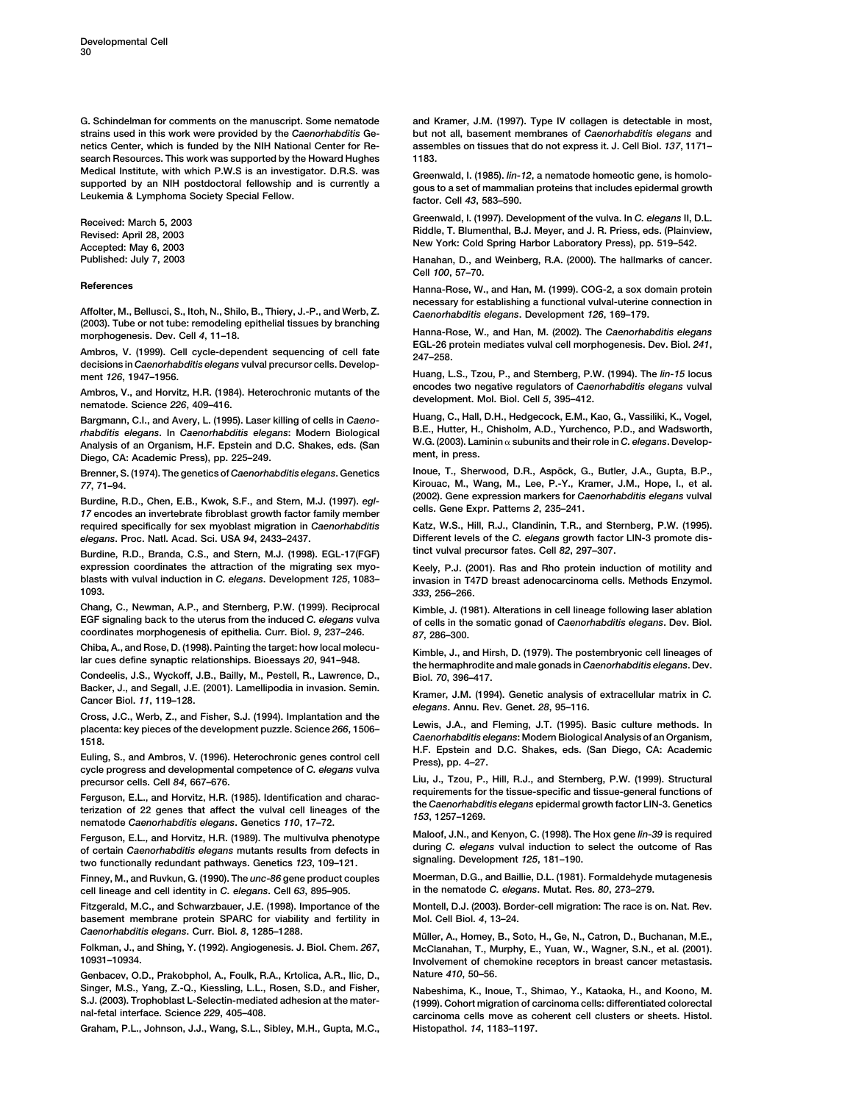**strains used in this work were provided by the** *Caenorhabditis* **Ge- but not all, basement membranes of** *Caenorhabditis elegans* **and netics Center, which is funded by the NIH National Center for Re- assembles on tissues that do not express it. J. Cell Biol.** *137***, 1171–** search Resources. This work was supported by the Howard Hughes

**(2003). Tube or not tube: remodeling epithelial tissues by branching**

**decisions in** *Caenorhabditis elegans* **vulval precursor cells. Develop-**

Ambros, V., and Horvitz, H.R. (1984). Heterochronic mutants of the development. Mol. Biol. Cell 5, 395–412.<br>nematode. Science 226, 409–416.

rhabditis elegans. In Caenorhabditis elegans: Modern Biological B.E., Hutter, H., Chisholm, A.D., Yurchenco, P.D., and Wadsworth,<br>Analysis of an Organism, H.F. Epstein and D.C. Shakes, eds. (San W.G. (2003). Laminin a subu

Burdine, R.D., Chen, E.B., Kwok, S.F., and Stern, M.J. (1997). egl-<br>17 encodes an invertebrate fibroblast growth factor family member<br>required specifically for sex myoblast migration in Caenorhabditis Katz, W.S., Hill, R.J *elegans***. Proc. Natl. Acad. Sci. USA** *94***, 2433–2437. Different levels of the** *C. elegans* **growth factor LIN-3 promote dis-**

**tinct vulval precursor fates. Cell** *82***, 297–307. Burdine, R.D., Branda, C.S., and Stern, M.J. (1998). EGL-17(FGF) expression coordinates the attraction of the migrating sex myo- Keely, P.J. (2001). Ras and Rho protein induction of motility and blasts with vulval induction in** *C. elegans***. Development** *125***, 1083– invasion in T47D breast adenocarcinoma cells. Methods Enzymol.**

**Chang, C., Newman, A.P., and Sternberg, P.W. (1999). Reciprocal Kimble, J. (1981). Alterations in cell lineage following laser ablation coordinates morphogenesis of epithelia. Curr. Biol.** *9***, 237–246.** *87***, 286–300.**

Chiba, A., and Rose, D. (1998). Painting the target: how local molecu-<br>lar cues define synaptic relationships. Bioessays 20, 941–948. He hermaphrodite and male gonads in Caenorhabditis elegans. Dev.

**Condeelis, J.S., Wyckoff, J.B., Bailly, M., Pestell, R., Lawrence, D., Biol.** *70***, 396–417.**

Euling, S., and Ambros, V. (1996). Heterochronic genes control cell Fig. 2. Execution Creation Cycle Press), pp. 4-27. **precursor cells. Cell** *84* **Liu, J., Tzou, P., Hill, R.J., and Sternberg, P.W. (1999). Structural , 667–676.**

Ferguson, E.L., and Horvitz, H.R. (1985). Identification and charac-<br>terization of 22 genes that affect the vulval cell lineages of the<br>nematode Caenorhabditis elegans. Genetics 110, 17–72.<br>Ferguson E1 and Horvitz H.R. (19

**signaling. Development** *125***, 181–190. two functionally redundant pathways. Genetics** *123***, 109–121.**

**cell lineage and cell identity in** *C. elegans* **in the nematode** *C. elegans***. Mutat. Res.** *80***, 273–279. . Cell** *63***, 895–905.**

**Fitzgerald, M.C., and Schwarzbauer, J.E. (1998). Importance of the Montell, D.J. (2003). Border-cell migration: The race is on. Nat. Rev. basement membrane protein SPARC for viability and fertility in Mol. Cell Biol.** *4***, 13–24.**

**Genbacev, O.D., Prakobphol, A., Foulk, R.A., Krtolica, A.R., Ilic, D., Nature** *410***, 50–56. Singer, M.S., Yang, Z.-Q., Kiessling, L.L., Rosen, S.D., and Fisher, Nabeshima, K., Inoue, T., Shimao, Y., Kataoka, H., and Koono, M. S.J. (2003). Trophoblast L-Selectin-mediated adhesion at the mater- (1999). Cohort migration of carcinoma cells: differentiated colorectal**

**Graham, P.L., Johnson, J.J., Wang, S.L., Sibley, M.H., Gupta, M.C., Histopathol.** *14***, 1183–1197.**

**G. Schindelman for comments on the manuscript. Some nematode and Kramer, J.M. (1997). Type IV collagen is detectable in most,**

Medical Institute, with which P.W.S is an investigator. D.R.S. was<br>supported by an NIH postdoctoral fellowship and is currently a gous to a set of mammalian proteins that includes epidermal growth<br>Leukemia & Lymphoma Socie

Received: March 5, 2003 **Statemar 1, 2008** Greenwald, I. (1997). Development of the vulva. In C. *elegans* II, D.L.<br>Revised: April 28, 2003 **Statemar 2, 2008** Riddle, T. Blumenthal, B.J. Meyer, and J. R. Priess, eds. (Plai

**Published: July 7, 2003 Hanahan, D., and Weinberg, R.A. (2000). The hallmarks of cancer. Cell** *100***, 57–70.**

**References Hanna-Rose, W., and Han, M. (1999). COG-2, a sox domain protein** Affolter, M., Bellusci, S., Itoh, N., Shilo, B., Thiery, J.-P., and Werb, Z. Caenorhabditis elegans. Development 126, 169-179.

Hanna-Rose, W., and Han, M. (2002). The Caenorhabditis elegans<br>morphogenesis. Dev. Cell 4, 11-18.<br>Ambros, V. (1999). Cell cycle-dependent sequencing of cell fate 247-258.

**ment** *126***, 1947–1956. Huang, L.S., Tzou, P., and Sternberg, P.W. (1994). The** *lin-15* **locus**

Bargmann, C.I., and Avery, L. (1995). Laser killing of cells in Caeno-<br> **Huang, C., Hall, D.H., H., Hedgecock, E.M., Kao, G., Vassiliki, K., Vogel,**<br> **B.E., Hutter, H., Chisholm, A.D., Yurchenco, P.D., and Wadsworth,**<br> *th* 

**Brenner, S. (1974). The genetics of** *Caenorhabditis elegans* **Inoue, T., Sherwood, D.R., Aspo¨ ck, G., Butler, J.A., Gupta, B.P., . Genetics** *77* **Kirouac, M., Wang, M., Lee, P.-Y., Kramer, J.M., Hope, I., et al. , 71–94.**

**required specifically for sex myoblast migration in** *Caenorhabditis* **Katz, W.S., Hill, R.J., Clandinin, T.R., and Sternberg, P.W. (1995).**

**1093.** *333***, 256–266.**

**EGF signaling back to the uterus from the induced** *C. elegans* **vulva of cells in the somatic gonad of** *Caenorhabditis elegans***. Dev. Biol.**

Backer, J., and Segan, J.E. (2001). Lamenpould in invasion. Semin.<br>Cancer Biol. 11, 119–128.<br>Cross, J.C., Werb, Z., and Fisher, S.J. (1994). Implantation and the elegans. Annu. Rev. Genet. 28, 95–116.

placenta: key pieces of the development puzzle. Science 266, 1506-<br>placenta: key pieces of the development puzzle. Science 266, 1506-<br>The Caenorhabditis elegans: Modern Biological Analysis of an Organism,<br>H.F. Epstein and

Ferguson, E.L., and Horvitz, H.R. (1989). The multivulva phenotype Maloot, J.N., and Kenyon, C. (1998). The Hox gene *in-39* is required<br>of certain Caenorhabditis elegans mutants results from defects in during C. elegans v

**Finney, M., and Ruvkun, G. (1990). The** *unc-86* **gene product couples Moerman, D.G., and Baillie, D.L. (1981). Formaldehyde mutagenesis**

*Caenorhabditis elegans***. Curr. Biol.** *<sup>8</sup>***, 1285–1288. Mu¨ ller, A., Homey, B., Soto, H., Ge, N., Catron, D., Buchanan, M.E., Folkman, J., and Shing, Y. (1992). Angiogenesis. J. Biol. Chem.** *267***, McClanahan, T., Murphy, E., Yuan, W., Wagner, S.N., et al. (2001). 10931–10934. Involvement of chemokine receptors in breast cancer metastasis.**

 $c$ arcinoma cells move as coherent cell clusters or sheets. Histol.